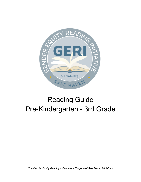

# Reading Guide Pre-Kindergarten - 3rd Grade

*The Gender Equity Reading Initiative is a Program of Safe Haven Ministries*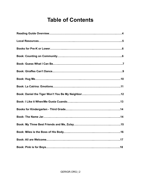## **Table of Contents**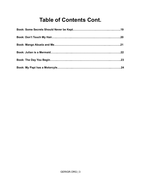## **Table of Contents Cont.**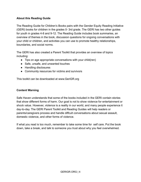## **About this Reading Guide**

The Reading Guide for Children's Books pairs with the Gender Equity Reading Initiative (GERI) books for children in the grades 0- 3rd grade. The GERI has two other guides for youth in grades 4-8 and 9-12. The Reading Guide includes book summaries, an overview of themes in the book, discussion questions for ongoing conversations with your child or children, and activities you can use to promote healthy relationships, boundaries, and social norms.

The GERI has also created a Parent Toolkit that provides an overview of topics including:

- Tips on age appropriate conversations with your child(ren)
- Safe, unsafe, and unwanted touches
- Handling disclosures
- Community resources for victims and survivors

This toolkit can be downloaded at www.GeriGR.org

## **Content Warning**

Safe Haven understands that some of the books included in the GERI contain stories that show different forms of harm. Our goal is not to show violence for entertainment or shock value. However, violence is a reality in our world, and many people experience it day-to-day. The GERI Parent Toolkit and Reading Guides will help readers or parents/caregivers process and handle diffcult conversations about sexual assault, domestic violence, and other forms of violence.

If what you read is too much, remember to take some time for self care. Put the book down, take a break, and talk to someone you trust about why you feel overwhelmed.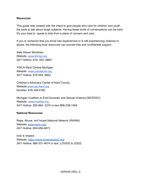## **Resources**

This guide was created with the intent to give people who care for children and youth the tools to talk about tough subjects. Having these kinds of conversations can be hard. Do your best to speak to kids from a place of concern and care.

If you or someone that you know has experienced or is still experiencing violence or abuse, the following local resources can provide free and confidential support:

Safe Haven Ministries Website: [www.shmgr.org](http://www.shmgr.org) 24/7 Hotline: 616- 452- 6664

YWCA West Central Michigan Website: [www.ywcawcmi.org](http://www.ywcawcmi.org) 24/7 Hotline: 616-454 -9922

Children's Advocacy Center of Kent County Website[:www.cac-kent.org](http://www.cac-kent.org) Number: 616-336-5160

Michigan Coalition to End Domestic and Sexual Violence (MCEDSV) Website: [www.mcedsv.org](http://www.mcedsv.org) 24/7 Hotline: 855-864- 2374 or text 866-238-1454

## **National Resources:**

Rape, Abuse, and Incest National Network (RAINN) Website: [www.rainn.org/](https://www.rainn.org/) 24/7 Hotline: 800-656-4673

love is respect Website: <https://www.loveisrespect.org/> 24/7 Hotline: 866-331-9474 or text LOVEIS to 22522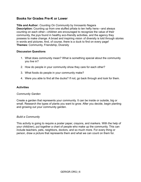## **Books for Grades Pre-K or Lower**

**Title and Author:** *Counting On Community* by Innosanto Nagara **Description:** Counting up from one stuffed piñata to ten hefty hens—and always counting on each other—children are encouraged to recognize the value of their community, the joys found in healthy eco-friendly activities, and the agency they possess to make change. A broad and inspiring vision of diversity is told through stories in words and pictures. And, of course, there is a duck to find on every page! **Themes:** Community, Friendship, Diversity

## **Discussion Questions**

- 1. What does community mean? What is something special about the community you live in?
- 2. How do people in your community show they care for each other?
- 3. What foods do people in your community make?
- 4. Were you able to find all the ducks? If not, go back through and look for them.

## **Activities**

## *Community Garden*

Create a garden that represents your community. It can be inside or outside, big or small. Research the types of plants you want to grow. After you decide, begin planting and growing out your community garden.

## *Build a Community*

This activity is going to require a poster paper, crayons, and markers. With the help of your child(ren), put together a chart of people who make up the community. This can include teachers, pets, neighbors, doctors, and so much more. For every thing or person, draw a picture that represents them and what we can count on them for.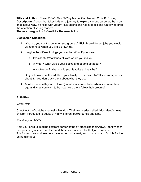**Title and Author:** *Guess What I Can Be?* by Marcel Gamble and Chris B. Dudley **Description:** A book that takes kids on a journey to explore various career paths in an imaginative way. It's filled with vibrant illustrations and has a poetic and fun flow to grab the attention of young readers.

**Themes:** Imagination & Creativity, Representation

## **Discussion Questions**

- 1. What do you want to be when you grow up? Pick three different jobs you would want to have when you are a grown up.
- 2. Imagine the different things you can be. What if you were…
	- a. President? What kinds of laws would you make?
	- b. A writer? What would your books and poems be about?
	- c. A zookeeper? What would your favorite animals be?
- 3. Do you know what the adults in your family do for their jobs? If you know, tell us about it.If you don't, ask them about what they do.
- 4. Adults, share with your child(ren) what you wanted to be when you were their age and what you want to be now. Help them follow their dreams!

## **Activities**

## *Video Time!*

Check out the Youtube channel HiHo Kids. Their web series called "Kids Meet" shows children introduced to adults of many different backgrounds and jobs.

## *Practice your ABC's*

Help your child to imagine different career paths by practicing their ABCs. Identify each occupation by a letter and then add three skills needed for that job. Example: T is for teachers and teachers have to be kind, smart, and good at math. Do this for the entire alphabet.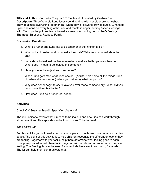**Title and Author:** *Start with Sorry* by P.T. Finch and Illustrated by Gokhan Bas **Description:** Three Year old Luna loves spending time with her older brother Asher. They do almost everything together. But when they sit down to draw pictures, Luna feels upset she can't do everything Asher can and reacts in anger, hurting Asher's feelings. With Mommy's help, Luna learns to make amends for hurting her brother's feelings. **Themes:** Emotions, Respect, Family

## **Discussion Questions**

- 1. What do Asher and Luna like to do together at the kitchen table?
- 2. What color did Asher and Luna make their cats? Why was Luna sad about her cat?
- 3. Luna starts to feel jealous because Asher can draw better pictures than her. What does it mean to be jealous of someone?
- 4. Have you ever been jealous of someone?
- 5. When Luna gets mad what does she do? (Adults, help name all the things Luna did when she was angry.) When you get angry what do you do?
- 6. Why does Asher begin to cry? Have you ever made someone cry? What did you do to make them feel better?
- 7. How does Luna help Asher feel better?

## **Activities**

## *Check Out Sesame Street's Special on Jealousy!*

The mini-episode covers what it means to be jealous and how kids can work through strong emotions. This episode can be found on YouTube for free!

## *The Feeling Jar*

For this activity you will need a cup or a jar, a pack of multi-color pom poms, and a clear space. The point of this activity is to help children recognize the different emotions they are feeling. Together with your child, help them determine what feeling goes to each color pom pom. After, ask them to fill the jar up with whatever current emotion they are feeling. The Feeling Jar can be used for when kids have emotions too big for words. The jar can help them communicate that.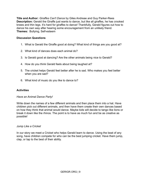**Title and Author:** *Giraffes Can't Dance* by Giles Andreae and Guy Parker-Rees **Description:** Gerald the Giraffe just wants to dance, but like all giraffes, he has crooked knees and thin legs. It's hard for giraffes to dance! Thankfully, Gerald figures out how to dance his own way after hearing some encouragement from an unlikely friend. **Themes:** Bullying, Self-esteem

## **Discussion Questions**

- 1. What is Gerald the Giraffe good at doing? What kind of things are you good at?
- 2. What kind of dances does each animal do?
- 3. Is Gerald good at dancing? Are the other animals being nice to Gerald?
- 4. How do you think Gerald feels about being laughed at?
- 5. The cricket helps Gerald feel better after he is sad. Who makes you feel better when you are sad?
- 6. What kind of music do you like to dance to?

## **Activities**

## *Have an Animal Dance Party!*

Write down the names of a few different animals and then place them into a hat. Have children pick out different animals, and then have them create their own dances based on how they think that animal would dance. Maybe kids will decide to tango like lions or break it down like the rhinos. The point is to have as much fun and be as creative as possible!

## *Jump Like a Cricket*

In our story we meet a Cricket who helps Gerald learn to dance. Using the beat of any song, have children compete for who can be the best jumping cricket. Have them jump, clap, or tap to the best of their ability.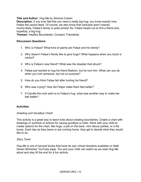## **Title and Author:** *Hug Me* by Simona Ciraolo

**Description:** If you ever feel like you need a really big hug, you know exactly how Felipe the cactus feels. Of course, we also know that cactuses aren't exactly touchy-feely. Felipe's family is quite prickly! So, Felipe heads out to find a friend and, hopefully, a big hug.

**Themes:** Healthy Boundaries, Consent, Friendship

#### **Discussion Questions**

- 1. Who is Felipe? What kind of plants are Felipe and his family?
- 2. Why doesn't Felipe's family like to give hugs? What happens when you touch a cactus?
- 3. Who is Felipe's new friend? What was the disaster that struck?
- 4. Felipe just wanted to hug his friend Balloon, but he hurt him. What can you do when you hurt someone, but not on purpose?
- 5. How do you think Felipe felt after hurting his friend?
- 6. Who was crying? How did Felipe make them feel better?
- 7. If Camilla the rock said no to Felipe's hug, what was another way to make her feel better?

## **Activities**

## *Greeting and Goodbye Chart!*

This activity is a great way to teach kids about creating boundaries. Create a chart with drawings or symbols of actions for saying goodbye or hello. Work with your child to create options for the chart, like hugs, a pat on the back, mini dance parties, or a fist bump. Each day as they leave or are coming home, they get to decide what they would like to do.

## *Story Time!*

*Hug Me* is one of several books that have its own virtual storytime available on Safe Haven Ministries' YouTube page. You and your child can watch as we read *Hug Me* aloud and stay till the end for a fun activity.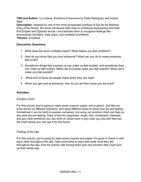**Title and Author:** *La Catrina: Emotions-Emociones* by Patty Rodriguez and Ariana **Stein** 

**Description:** Inspired by one of the most recognized symbols of Día de los Muertos (Day of the Dead), this book introduces little ones to emotional expressions and their first English and Spanish words―and teaches them to recognize feelings like emocionado (excited), triste (sad), and confiado (confident). **Themes:** Emotions

## **Discussion Questions**

- 1. What does the word confident mean? What makes you feel confident?
- 2. How do you show that you love someone? What can you do to make someone feel loved?
- 3. Sometimes things that surprise us can make us feel excited, and sometimes they can make us feel scared. When did a surprise make you feel scared? When did it make you feel excited?
- 4. What kind of faces do people make when they are mad?
- 5. When you get mad at someone, how do you let them know you are mad?

## **Activities**

## *Emotion Chart*

For this activity you're going to need some crayons, paper, and a pencil. Just like our book shows us different emotions, let's draw different faces to show how we are feeling. Sometimes it can be hard to express ourselves, but using our emotion chart can help us say what we are feeling. Draw a face for happiness, anger, fear, excitement, sadness, and any other emotions you can think of. Draw them in any color you like and then put the chart where you can see it for the future.

## *Feeling of the Day*

For this activity, you're going to need some crayons and paper. It's good to check in with each other throughout the day. Take some time to have kids draw what they felt throughout the day. End the activity with having them pick one emotion that could sum up their whole day.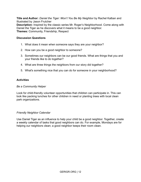**Title and Author:** *Daniel the Tiger: Won't You Be My Neighbor* by Rachel Kalban and Illustrated by Jason Frutcher **Description:** Inspired by the classic series Mr. Roger's Neighborhood. Come along with Daniel the Tiger as he discovers what it means to be a good neighbor. **Themes:** Community, Friendship, Respect

## **Discussion Questions**

- 1. What does it mean when someone says they are your neighbor?
- 2. How can you be a good neighbor to someone?
- 3. Sometimes our neighbors can be our good friends. What are things that you and your friends like to do together?
- 4. What are three things the neighbors from our story did together?
- 5. What's something nice that you can do for someone in your neighborhood?

## **Activities**

## *Be a Community Helper*

Look for child-friendly volunteer opportunities that children can participate in. This can look like packing lunches for other children in need or planting trees with local clean park organizations.

## *Friendly Neighbor Calendar*

Use Daniel Tiger as an influence to help your child be a good neighbor. Together, create a weekly calendar of tasks that good neighbors can do. For example, Mondays are for helping our neighbors clean; a good neighbor keeps their room clean.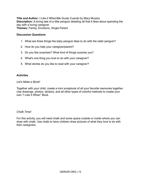**Title and Author:** *I Like it When/Me Gusta Cuando* by Mary Murphy **Description:** A loving tale of a little penguin detailing all that it likes about spending the day with a loving caregiver. **Themes:** Family, Emotions, Single Parent

#### **Discussion Questions**

- 1. What are three things the baby penguin likes to do with the older penguin?
- 2. How do you help your caregiver/parent?
- 3. Do you like surprises? What kind of things surprise you?
- 4. What's one thing you love to do with your caregiver?
- 5. What stories do you like to read with your caregiver?

## **Activites**

#### *Let's Make a Book!*

Together with your child, create a mini scrapbook of all your favorite memories together. Use drawings, photos, stickers, and all other types of colorful methods to create your own "I Like It When" Book.

#### *Chalk Time!*

For this activity, you will need chalk and some space outside or inside where you can draw with chalk. Use chalk to have children draw pictures of what they love to do with their caregivers.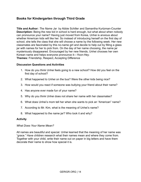## **Books for Kindergarten through Third Grade**

**Title and Author:** *The Name Jar* by Abbie Schiller and Samantha Kurtzman-Counter **Description:** Being the new kid in school is hard enough, but what about when nobody can pronounce your name? Having just moved from Korea, Unhei is anxious about whether American kids will like her. So instead of introducing herself on the first day of school, she tells the class that she will choose a name by the following week. Her new classmates are fascinated by this no-name girl and decide to help out by filling a glass jar with names for her to pick from. On the day of her name choosing, the name jar mysteriously disappeared. Encouraged by her new friends, Unhei chooses her own Korean name and helps everyone pronounce it—*Yoon-Hey*. **Themes:** Friendship, Respect, Accepting Difference

## **Discussion Questions and Activities**

- 1. How do you think Unhei feels going to a new school? How did you feel on the first day of school?
- 2. What happened to Unhei on the bus? Were the other kids being nice?
- 3. How would you react if someone was bullying your friend about their name?
- 4. Has anyone ever made fun of your name?
- 5. Why do you think Unhei does not share her name with her classmates?
- 6. What does Unhei's mom tell her when she wants to pick an "American" name?
- 7. According to Mr. Kim, what is the meaning of Unhei's name?
- 8. What happened to the name jar? Who took it and why?

## **Activity**

## *What Does Your Name Mean?*

All names are beautiful and special. Unhei learned that the meaning of her name was "grace." Have children research what their names mean and where they come from. Together with your child, write their name out on paper in big letters and have them decorate their name to show how special it is.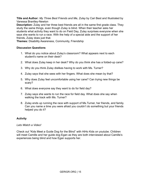**Title and Author:** *My Three Best Friends and Me, Zulay* by Cari Best and Illustrated by Vanessa Brantley-Newton

**Description:** Zulay and her three best friends are all in the same first grade class. They study the same things, even though Zulay is blind. When their teacher asks her students what activity they want to do on Field Day, Zulay surprises everyone when she says she wants to run a race. With the help of a special aide and the support of her friends, Zulay does just that.

**Themes:** Disability Awareness, Community, Friendship

## **Discussion Questions**

- 1. What do you notice about Zulay's classroom? What appears next to each student's name on their desk?
- 2. What does Zulay keep in her desk? Why do you think she has a folded-up cane?
- 3. Why do you think Zulay dislikes having to work with Ms. Turner?
- 4. Zulay says that she sees with her fingers. What does she mean by that?
- 5. Why does Zulay feel uncomfortable using her cane? Can trying new things be scary?
- 6. What does everyone say they want to do for field day?
- 7. Zulay says she wants to run the race for field day. What does she say when walking the track with Ms. Turner?
- 8. Zulay ends up running the race with support of Ms.Turner, her friends, and family. Can you name a time you were afraid you couldn't do something but your friends helped you do it?

## **Activity**

*Lets Watch a Video!*

Check out "Kids Meet a Guide Dog for the Blind" with HiHo Kids on youtube. Children will meet Camille and her guide dog Egan as they are both interviewed about Camille's experiences being blind and how Egan supports her.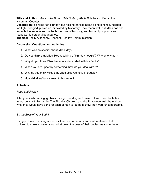## **Title and Author:** *Miles is the Boss of His Body* by Abbie Schiller and Samantha Kurtzman-Counter

**Description:** It's Miles' 6th birthday, but he's not thrilled about being pinched, hugged too tight, noogied, picked up, or tickled by his family. They mean well, but Miles has had enough! He announces that he is the boss of his body, and his family supports and respects his personal boundaries.

**Themes:** Bodily Autonomy, Consent, Healthy Communication

## **Discussion Questions and Activities**

- 1. What was so special about Miles' day?
- 2. Do you think that Miles liked receiving a "birthday noogie"? Why or why not?
- 3. Why do you think Miles became so frustrated with his family?
- 4. When you are upset by something, how do you deal with it?
- 5. Why do you think Miles that Miles believes he is in trouble?
- 6. How did Miles' family react to his anger?

## **Activities**

## *Read and Review*

After you finish reading, go back through our story and have children describe Miles' interactions with his family, The Birthday Chicken, and the Pizza man. Ask them about what they would have done for each person to let them know they were uncomfortable.

## *Be the Boss of Your Body!*

Using pictures from magazines, stickers, and other arts and craft materials, help children to make a poster about what being the boss of their bodies means to them.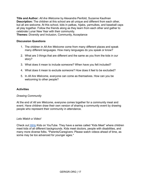**Title and Author:** *All Are Welcome* by Alexandra Penfold, Suzanne Kaufman **Description:** The children at this school are all unique and different from each other, but all are welcome. At this school, kids in patkas, hijabs, yarmulkes, and baseball caps all play together. Follow the friends along as they learn from each other and gather to celebrate Lunar New Year with their community.

**Themes:** Diversity and Inclusion, Community, Acceptance

## **Discussion Questions**

- 1. The children in *All Are Welcome* come from many different places and speak many different languages. How many languages do you speak or know?
- 2. What are 3 things that are different and the same as you from the kids in our story?
- 3. What does it mean to include someone? When have you felt included?
- 4. What does it mean to exclude someone? How does it feel to be excluded?
- 5. In *All Are Welcome,* everyone can come as themselves. How can you be welcoming to other people?

## **Activities**

## *Drawing Community*

At the end of *All are Welcome*, everyone comes together for a community meal and event. Have children draw their own version of sharing a community event by drawing people who represent their community in attendance.

## *Lets Watch a Video!*

Check out [HiHo](https://www.youtube.com/channel/UCqa2MPu8bLY1PwVFUpSyVhQ) Kids on YouTube. They have a series called "Kids Meet" where children meet kids of all different backgrounds. Kids meet doctors, people with disabilities, and many more diverse folks. \*Parents/Caregivers: Please watch videos ahead of time, as some may be too advanced for younger ages.\*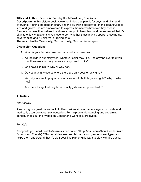**Title and Author:** *Pink Is for Boys* by Robb Pearlman, Eda Kaban **Description:** In this picture book, we're reminded that pink is for boys, and girls, and everyone! Rethink the gender binary and the blue/pink stereotype. In this beautiful book, kids and grown ups are empowered to express themselves however they choose. Readers can see themselves in a diverse group of characters, and be reassured that it's okay to enjoy whatever it is you love to do—whether that's playing sports, dressing up, daydreaming about unicorns, or racing cars!

**Themes:** Healthy Masculinity, Gender Equity, Gender Stereotypes

## **Discussion Questions**

- 1. What is your favorite color and why is it your favorite?
- 2. All the kids in our story wear whatever color they like. Has anyone ever told you that there were colors you weren't supposed to like?
- 3. Can boys like pink? Why or why not?
- 4. Do you play any sports where there are only boys or only girls?
- 5. Would you want to play on a sports team with both boys and girls? Why or why not?
- 6. Are there things that only boys or only girls are supposed to do?

## **Activities**

## *For Parents*

Amaze.org is a great parent tool. It offers various videos that are age-appropriate and medically-accurate about sex education. For help on understanding and explaining gender, check out their video on Gender and Gender Stereotypes.

## *For Kids*

Along with your child, watch Amaze's video called "Help Kids Learn About Gender (with Scoops and Friends)." This fun video teaches children about gender stereotypes and helps them understand that it's ok if boys like pink or girls want to play with fire trucks.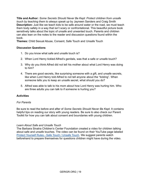**Title and Author:** *Some Secrets Should Never Be Kept*: *Protect children from unsafe touch by teaching them to always speak up* by Jayneen Sanders and Craig Smith **Description:** Just like we teach kids to be safe around water or the road, we must teach them body safety in a way that isn't scary or confrontational. This beautiful picture book sensitively talks about the topic of unsafe and unwanted touch. Parents and children can also lean on the notes to the reader and discussion questions found within the book.

**Themes:** Child Sexual Abuse, Consent, Safe Touch and Unsafe Touch

## **Discussion Questions**

- 1. Do you know what safe and unsafe touch is?
- 2. When Lord Henry tickled Alfred's genitals, was that a safe or unsafe touch?
- 3. Why do you think Alfred did not tell his mother about what Lord Henry was doing to him?
- 4. There are good secrets, like surprising someone with a gift, and unsafe secrets, like when Lord Henry told Alfred to not tell anyone about the "tickling". When someone tells you to keep an unsafe secret, what should you do?
- 5. Alfred was able to talk to his mom about how Lord Henry was hurting him. Who are three adults you can talk to if someone is hurting you?

## **Activities**

## *For Parents*

Be sure to read the before and after of *Some Secrets Should Never Be Kept*. It contains helpful tips on reading our story with young readers. Be sure to also check our Parent Toolkit for how you can talk about consent and boundaries with young children.

## *Learn About Safe and Unsafe Touch*

The Barbara Sinatra Children's Center Foundation created a video for children talking about safe and unsafe touches. The video can be found on their YouTube page labeled [Protect Yourself Rules - Safe Touch / Unsafe Touch](https://www.youtube.com/watch?v=zNTUMNKSNwk&t=2s). We suggest parents watch beforehand to prepare themselves for questions children might have during the video.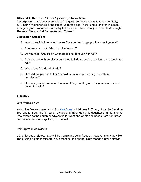## **Title and Author:** *Don't Touch My Hair!* by Sharee Miller

**Description:** Just about everywhere Aria goes, someone wants to touch her fluffy, curly hair. Whether she's in the street, under the sea, in the jungle, or even in space, strangers (and strange creatures) try to touch Aria's hair. Finally, she has had enough! **Themes:** Racism, Girl Empowerment, Consent

#### **Discussion Questions**

- 1. What does Aria love about herself? Name two things you like about yourself.
- 2. Aria loves her hair. Who else also loves it?
- 3. Do you think Aria likes it when people try to touch her hair?
- 4. Can you name three places Aria tried to hide so people wouldn't try to touch her hair?
- 5. What does Aria decide to do?
- 6. How did people react after Aria told them to stop touching her without permission?
- 7. How can you tell someone that something that they are doing makes you feel uncomfortable?

## **Activities**

## *Let's Watch a Film*

Watch the Oscar-winning short film *[Hair Love](https://www.youtube.com/watch?v=kNw8V_Fkw28)* by Matthew A. Cherry. It can be found on YouTube for free. The film tells the story of a father doing his daughter's hair for the first time. Watch as the daughter advocates for what she wants and needs from her father the same as how Aria spoke up for herself.

## *Hair Stylist in the Making*

Using flat paper plates, have children draw and color faces on however many they like. Then, using a pair of scissors, have them cut their paper plate friends a new hairstyle.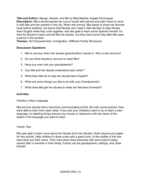**Title and Author:** *Mango, Abuela, and Me* by Meg Medina, Angela Dominguez **Description:** Mia's abuela leaves her sunny house with parrots and palm trees to move in with Mia and her parents in the city. When she arrives, Mia wants to share her favorite book before bedtime, but learns that Abuela can't read it. Mia decides to help Abuela learn English while they cook together, and she gets to learn some Spanish herself. It's hard for Abuela to learn and tell Mia her stories, but they have some help after Mia sees a parrot in the window.

**Themes:** Girl Empowerment, Immigration, Different Family Structures

## **Discussion Questions**

- 1. Mia is nervous when her abuela (grandmother) moves in. Why is she nervous?
- 2. Do you think Abuela is nervous to meet Mia?
- 3. Have you ever met your grandparents?
- 4. Can Mia and her abuela understand each other?
- 5. What does Mia do to help her abuela learn English?
- 6. What are some things you like to do with your Grandparents?
- 7. What does Mia get her abuela to make her feel less homesick?

## **Activities**

## *Practice a New Language*

Mia and her abuela had a hard time communicating at first. But with some practice, they were able to learn from each other. If you and your child(ren) want to try to learn a new language, try labeling things around your house or classroom with the name of the object in the language you want to learn.

## *Family Tree*

Mia was able to learn more about her Abuelo from her Abuela. Grab crayons and paper for this activity. Help children to draw a tree with a giant trunk. In the middle of the tree have them put their name. Then have them draw branches with each branch being named after a member in their family. Family can be grandparents, siblings, and close friends!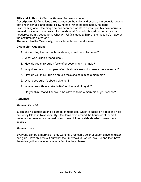## **Title and Author:** *Julián Is a Mermaid* by Jessica Love

**Description:** Julián notices three women on the subway dressed up in beautiful gowns that end in fishtails and bright, billowing hair. When he gets home, he starts daydreaming about the magic he has seen and wants to dress up in his own fabulous mermaid costume. Julián sets off to create a tail from a butter-yellow curtain and a headdress from a potted fern. What will Julián's abuela think of the mess he's made or the costume he's created?

**Themes:** Healthy Masculinity, Family Acceptance, Self-Esteem

## **Discussion Questions**

- 1. While riding the train with his abuela, who does Julián meet?
- 2. What was Julián's "good idea"?
- 3. How do you think Julián feels after becoming a mermaid?
- 4. Why does Julián look upset after his abuela sees him dressed as a mermaid?
- 5. How do you think Julián's abuela feels seeing him as a mermaid?
- 6. What does Julián's abuela give to him?
- 7. Where does Abuela take Julián? And what do they do?
- 8. Do you think that Julián would be allowed to be a mermaid at your school?

## **Activities**

## *Mermaid Parade!*

Julián and his abuela attend a parade of mermaids, which is based on a real one held on Coney Island in New York City. Use items from around the house or other craft materials to dress up as mermaids and have children celebrate what makes them special.

## *Mermaid Tails*

Everyone can be a mermaid if they want to! Grab some colorful paper, crayons, glitter, and glue. Have children cut out what their mermaid tail would look like and then have them design it in whatever shape or fashion they please.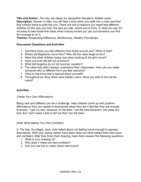**Title and Author:** *The Day You Begin* by Jacqueline Woodson, Rafael López **Description:** Sooner or later, you will face a time when you walk into a room and find that nobody there is quite like you. There are lots of reasons you might feel different, whether it's the way you look, the way you talk, where you're from, or what you eat. It's not easy to take those first steps when nobody knows you yet, but somehow you find the courage to do it.

**Themes:** Respecting Difference, Mindfulness, Healthy Friendships

## **Discussion Questions and Activities**

- 1. Are there times you feel different from those around you? When is that?
- 2. Where did Rigoberto move from? Why did the class laugh at him?
- 3. Were the other children being nice when looking at the girl's lunch?
- 4. Have you ever felt left out at school?
- 5. What did Angelina do on her summer vacation?
- 6. The other kids didn't always understand their classmates. How can you make someone who is different from you feel welcome?
- 7. What is one thing that is special about yourself?
- 8. Throughout our story there were hidden rulers. Were you able to find all the rulers?

## **Activities**

## *Create Your Own Affirmations*

Being new and different can be a challenge. Help children come up with positive affirmations they can repeat to themselves when they don't feel like they are enough. Example: "I get my rest, because I'm the best. I am the best because I can pass any test. But I don't need a test to tell me that I am the best."

## *Draw What Makes You Feel Confident*

In *The Day You Begin,* each child talked about not feeling brave enough to express themselves. With your young reader, have them draw out what makes them feel brave and confident. After they finish their drawing, have them answer the following questions:

- 1. What is your drawing of?
- 2. Why does it make you feel confident?
- 3. Can you use this to make others feel brave?